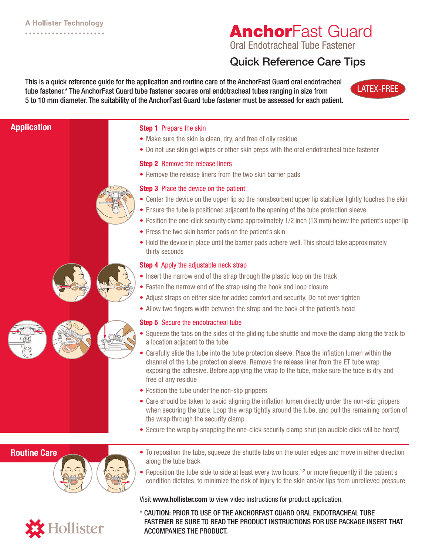**Sollister** 

# **AnchorFast Guard**

Oral Endotracheal Tube Fastener

## Quick Reference Care Tips

This is a quick reference guide for the application and routine care of the AnchorFast Guard oral endotracheal tube fastener.\* The AnchorFast Guard tube fastener secures oral endotracheal tubes ranging in size from 5 to 10 mm diameter. The suitability of the AnchorFast Guard tube fastener must be assessed for each patient.



### Step 1 Prepare the skin • Make sure the skin is clean, dry, and free of oily residue • Do not use skin gel wipes or other skin preps with the oral endotracheal tube fastener **Step 2** Remove the release liners • Remove the release liners from the two skin barrier pads **Step 3** Place the device on the patient • Center the device on the upper lip so the nonabsorbent upper lip stabilizer lightly touches the skin • Ensure the tube is positioned adjacent to the opening of the tube protection sleeve • Position the one-click security clamp approximately 1/2 inch (13 mm) below the patient's upper lip • Press the two skin barrier pads on the patient's skin • Hold the device in place until the barrier pads adhere well. This should take approximately thirty seconds **Step 4** Apply the adjustable neck strap • Insert the narrow end of the strap through the plastic loop on the track • Fasten the narrow end of the strap using the hook and loop closure • Adjust straps on either side for added comfort and security. Do not over tighten • Allow two fingers width between the strap and the back of the patient's head **Step 5** Secure the endotracheal tube • Squeeze the tabs on the sides of the gliding tube shuttle and move the clamp along the track to a location adjacent to the tube • Carefully slide the tube into the tube protection sleeve. Place the inflation lumen within the channel of the tube protection sleeve. Remove the release liner from the ET tube wrap exposing the adhesive. Before applying the wrap to the tube, make sure the tube is dry and free of any residue • Position the tube under the non-slip grippers • Care should be taken to avoid aligning the inflation lumen directly under the non-slip grippers when securing the tube. Loop the wrap tightly around the tube, and pull the remaining portion of the wrap through the security clamp • Secure the wrap by snapping the one-click security clamp shut (an audible click will be heard) • To reposition the tube, squeeze the shuttle tabs on the outer edges and move in either direction along the tube track • Reposition the tube side to side at least every two hours,<sup>1,2</sup> or more frequently if the patient's condition dictates, to minimize the risk of injury to the skin and/or lips from unrelieved pressure Application Routine Care

Visit www.hollister.com to view video instructions for product application.